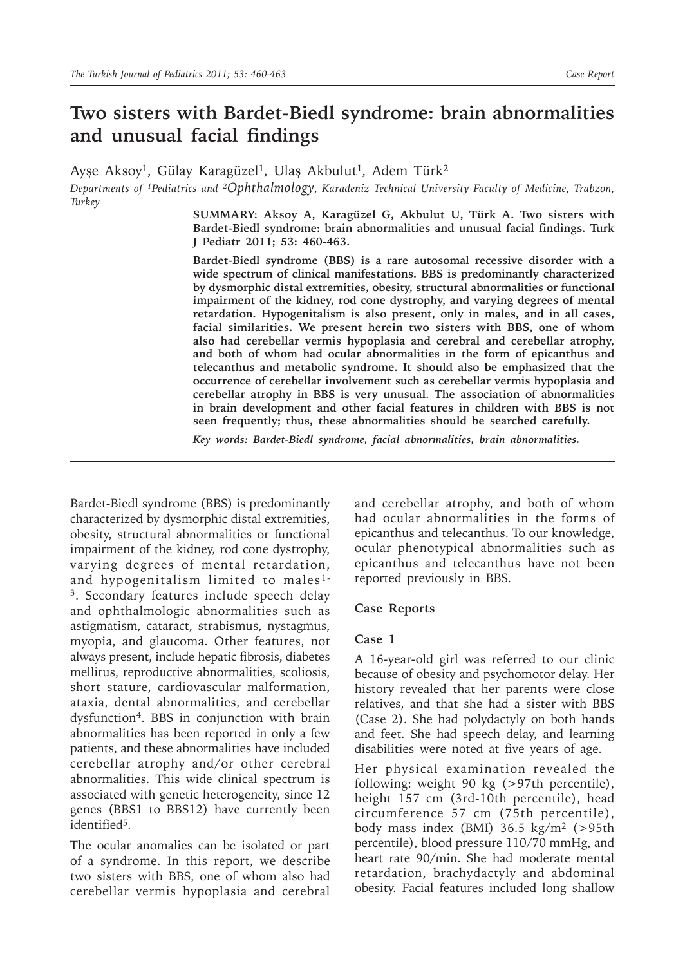# **Two sisters with Bardet-Biedl syndrome: brain abnormalities and unusual facial findings**

Ayşe Aksoy<sup>1</sup>, Gülay Karagüzel<sup>1</sup>, Ulaş Akbulut<sup>1</sup>, Adem Türk<sup>2</sup>

*Departments of 1Pediatrics and 2Ophthalmology, Karadeniz Technical University Faculty of Medicine, Trabzon, Turkey*

> **SUMMARY: Aksoy A, Karagüzel G, Akbulut U, Türk A. Two sisters with Bardet-Biedl syndrome: brain abnormalities and unusual facial findings. Turk J Pediatr 2011; 53: 460-463.**

> **Bardet-Biedl syndrome (BBS) is a rare autosomal recessive disorder with a wide spectrum of clinical manifestations. BBS is predominantly characterized by dysmorphic distal extremities, obesity, structural abnormalities or functional impairment of the kidney, rod cone dystrophy, and varying degrees of mental retardation. Hypogenitalism is also present, only in males, and in all cases, facial similarities. We present herein two sisters with BBS, one of whom also had cerebellar vermis hypoplasia and cerebral and cerebellar atrophy, and both of whom had ocular abnormalities in the form of epicanthus and telecanthus and metabolic syndrome. It should also be emphasized that the occurrence of cerebellar involvement such as cerebellar vermis hypoplasia and cerebellar atrophy in BBS is very unusual. The association of abnormalities in brain development and other facial features in children with BBS is not seen frequently; thus, these abnormalities should be searched carefully.**

*Key words: Bardet-Biedl syndrome, facial abnormalities, brain abnormalities.*

Bardet-Biedl syndrome (BBS) is predominantly characterized by dysmorphic distal extremities, obesity, structural abnormalities or functional impairment of the kidney, rod cone dystrophy, varying degrees of mental retardation, and hypogenitalism limited to males<sup>1-</sup>  $3.$  Secondary features include speech delay and ophthalmologic abnormalities such as astigmatism, cataract, strabismus, nystagmus, myopia, and glaucoma. Other features, not always present, include hepatic fibrosis, diabetes mellitus, reproductive abnormalities, scoliosis, short stature, cardiovascular malformation, ataxia, dental abnormalities, and cerebellar dysfunction4. BBS in conjunction with brain abnormalities has been reported in only a few patients, and these abnormalities have included cerebellar atrophy and/or other cerebral abnormalities. This wide clinical spectrum is associated with genetic heterogeneity, since 12 genes (BBS1 to BBS12) have currently been identified<sup>5</sup>.

The ocular anomalies can be isolated or part of a syndrome. In this report, we describe two sisters with BBS, one of whom also had cerebellar vermis hypoplasia and cerebral

and cerebellar atrophy, and both of whom had ocular abnormalities in the forms of epicanthus and telecanthus. To our knowledge, ocular phenotypical abnormalities such as epicanthus and telecanthus have not been reported previously in BBS.

### **Case Reports**

## **Case 1**

A 16-year-old girl was referred to our clinic because of obesity and psychomotor delay. Her history revealed that her parents were close relatives, and that she had a sister with BBS (Case 2). She had polydactyly on both hands and feet. She had speech delay, and learning disabilities were noted at five years of age.

Her physical examination revealed the following: weight 90 kg (>97th percentile), height 157 cm (3rd-10th percentile), head circumference 57 cm (75th percentile), body mass index (BMI)  $36.5 \text{ kg/m}^2$  (>95th percentile), blood pressure 110/70 mmHg, and heart rate 90/min. She had moderate mental retardation, brachydactyly and abdominal obesity. Facial features included long shallow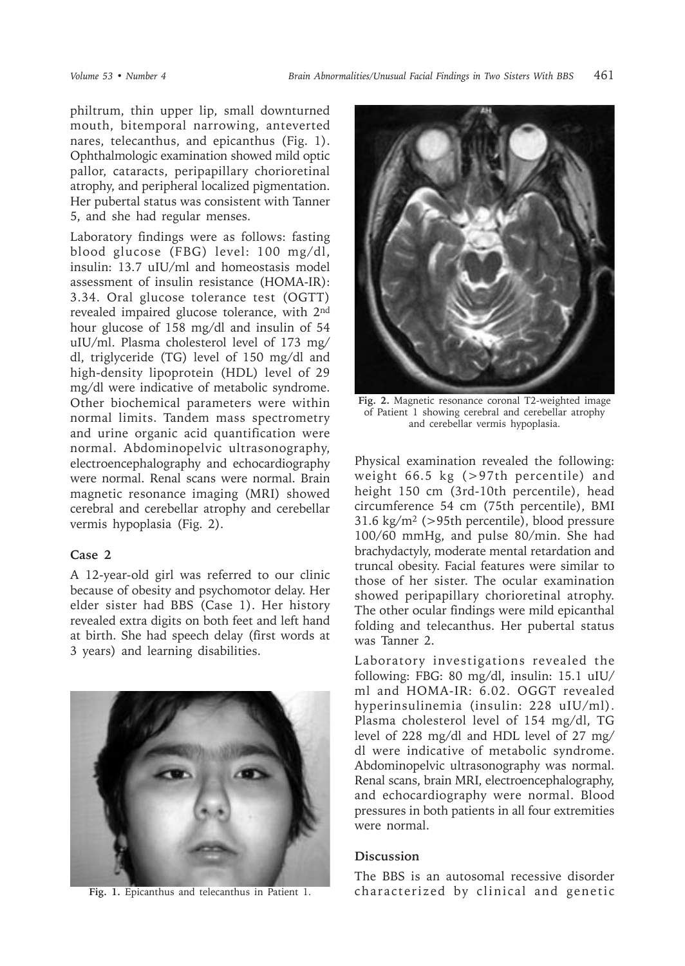philtrum, thin upper lip, small downturned mouth, bitemporal narrowing, anteverted nares, telecanthus, and epicanthus (Fig. 1). Ophthalmologic examination showed mild optic pallor, cataracts, peripapillary chorioretinal atrophy, and peripheral localized pigmentation. Her pubertal status was consistent with Tanner 5, and she had regular menses.

Laboratory findings were as follows: fasting blood glucose (FBG) level: 100 mg/dl, insulin: 13.7 uIU/ml and homeostasis model assessment of insulin resistance (HOMA-IR): 3.34. Oral glucose tolerance test (OGTT) revealed impaired glucose tolerance, with 2<sup>nd</sup> hour glucose of 158 mg/dl and insulin of 54 uIU/ml. Plasma cholesterol level of 173 mg/ dl, triglyceride (TG) level of 150 mg/dl and high-density lipoprotein (HDL) level of 29 mg/dl were indicative of metabolic syndrome. Other biochemical parameters were within normal limits. Tandem mass spectrometry and urine organic acid quantification were normal. Abdominopelvic ultrasonography, electroencephalography and echocardiography were normal. Renal scans were normal. Brain magnetic resonance imaging (MRI) showed cerebral and cerebellar atrophy and cerebellar vermis hypoplasia (Fig. 2).

## **Case 2**

A 12-year-old girl was referred to our clinic because of obesity and psychomotor delay. Her elder sister had BBS (Case 1). Her history revealed extra digits on both feet and left hand at birth. She had speech delay (first words at 3 years) and learning disabilities.





**Fig. 2.** Magnetic resonance coronal T2-weighted image of Patient 1 showing cerebral and cerebellar atrophy and cerebellar vermis hypoplasia.

Physical examination revealed the following: weight 66.5 kg (>97th percentile) and height 150 cm (3rd-10th percentile), head circumference 54 cm (75th percentile), BMI  $31.6 \text{ kg/m}^2$  (>95th percentile), blood pressure 100/60 mmHg, and pulse 80/min. She had brachydactyly, moderate mental retardation and truncal obesity. Facial features were similar to those of her sister. The ocular examination showed peripapillary chorioretinal atrophy. The other ocular findings were mild epicanthal folding and telecanthus. Her pubertal status was Tanner 2.

Laboratory investigations revealed the following: FBG: 80 mg/dl, insulin: 15.1 uIU/ ml and HOMA-IR: 6.02. OGGT revealed hyperinsulinemia (insulin: 228 uIU/ml). Plasma cholesterol level of 154 mg/dl, TG level of 228 mg/dl and HDL level of 27 mg/ dl were indicative of metabolic syndrome. Abdominopelvic ultrasonography was normal. Renal scans, brain MRI, electroencephalography, and echocardiography were normal. Blood pressures in both patients in all four extremities were normal.

## **Discussion**

The BBS is an autosomal recessive disorder Fig. 1. Epicanthus and telecanthus in Patient 1. characterized by clinical and genetic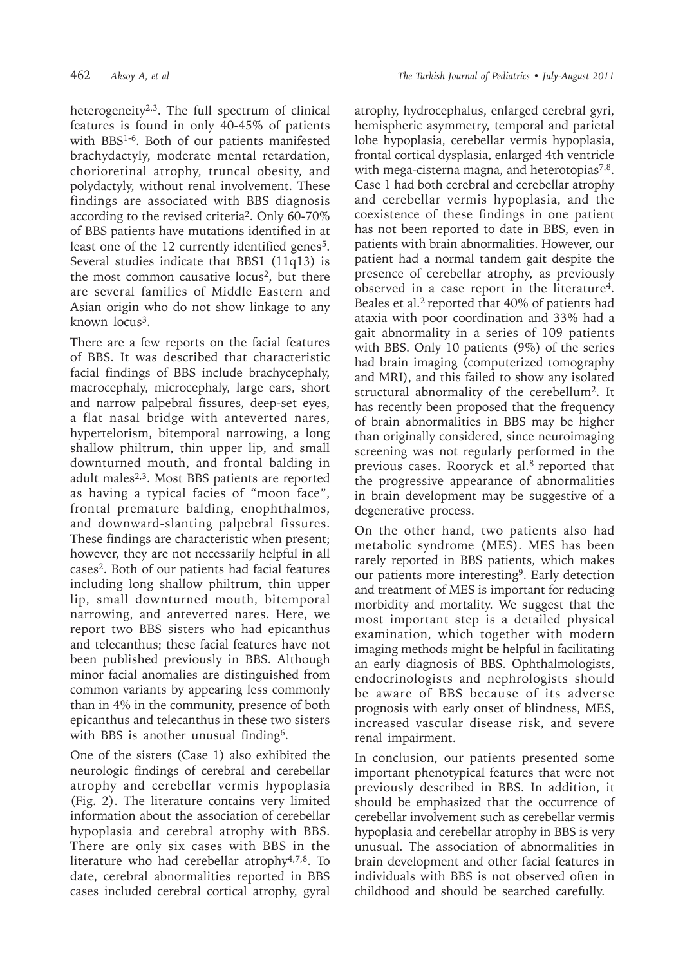heterogeneity $2,3$ . The full spectrum of clinical features is found in only 40-45% of patients with BBS1-6. Both of our patients manifested brachydactyly, moderate mental retardation, chorioretinal atrophy, truncal obesity, and polydactyly, without renal involvement. These findings are associated with BBS diagnosis according to the revised criteria<sup>2</sup>. Only 60-70% of BBS patients have mutations identified in at least one of the 12 currently identified genes<sup>5</sup>. Several studies indicate that BBS1 (11q13) is the most common causative locus<sup>2</sup>, but there are several families of Middle Eastern and Asian origin who do not show linkage to any known locus<sup>3</sup>.

There are a few reports on the facial features of BBS. It was described that characteristic facial findings of BBS include brachycephaly, macrocephaly, microcephaly, large ears, short and narrow palpebral fissures, deep-set eyes, a flat nasal bridge with anteverted nares, hypertelorism, bitemporal narrowing, a long shallow philtrum, thin upper lip, and small downturned mouth, and frontal balding in adult males<sup>2,3</sup>. Most BBS patients are reported as having a typical facies of "moon face", frontal premature balding, enophthalmos, and downward-slanting palpebral fissures. These findings are characteristic when present; however, they are not necessarily helpful in all cases2. Both of our patients had facial features including long shallow philtrum, thin upper lip, small downturned mouth, bitemporal narrowing, and anteverted nares. Here, we report two BBS sisters who had epicanthus and telecanthus; these facial features have not been published previously in BBS. Although minor facial anomalies are distinguished from common variants by appearing less commonly than in 4% in the community, presence of both epicanthus and telecanthus in these two sisters with BBS is another unusual finding<sup>6</sup>.

One of the sisters (Case 1) also exhibited the neurologic findings of cerebral and cerebellar atrophy and cerebellar vermis hypoplasia (Fig. 2). The literature contains very limited information about the association of cerebellar hypoplasia and cerebral atrophy with BBS. There are only six cases with BBS in the literature who had cerebellar atrophy<sup>4,7,8</sup>. To date, cerebral abnormalities reported in BBS cases included cerebral cortical atrophy, gyral

atrophy, hydrocephalus, enlarged cerebral gyri, hemispheric asymmetry, temporal and parietal lobe hypoplasia, cerebellar vermis hypoplasia, frontal cortical dysplasia, enlarged 4th ventricle with mega-cisterna magna, and heterotopias<sup>7,8</sup>. Case 1 had both cerebral and cerebellar atrophy and cerebellar vermis hypoplasia, and the coexistence of these findings in one patient has not been reported to date in BBS, even in patients with brain abnormalities. However, our patient had a normal tandem gait despite the presence of cerebellar atrophy, as previously observed in a case report in the literature4. Beales et al.<sup>2</sup> reported that 40% of patients had ataxia with poor coordination and 33% had a gait abnormality in a series of 109 patients with BBS. Only 10 patients (9%) of the series had brain imaging (computerized tomography and MRI), and this failed to show any isolated structural abnormality of the cerebellum<sup>2</sup>. It has recently been proposed that the frequency of brain abnormalities in BBS may be higher than originally considered, since neuroimaging screening was not regularly performed in the previous cases. Rooryck et al.8 reported that the progressive appearance of abnormalities in brain development may be suggestive of a degenerative process.

On the other hand, two patients also had metabolic syndrome (MES). MES has been rarely reported in BBS patients, which makes our patients more interesting<sup>9</sup>. Early detection and treatment of MES is important for reducing morbidity and mortality. We suggest that the most important step is a detailed physical examination, which together with modern imaging methods might be helpful in facilitating an early diagnosis of BBS. Ophthalmologists, endocrinologists and nephrologists should be aware of BBS because of its adverse prognosis with early onset of blindness, MES, increased vascular disease risk, and severe renal impairment.

In conclusion, our patients presented some important phenotypical features that were not previously described in BBS. In addition, it should be emphasized that the occurrence of cerebellar involvement such as cerebellar vermis hypoplasia and cerebellar atrophy in BBS is very unusual. The association of abnormalities in brain development and other facial features in individuals with BBS is not observed often in childhood and should be searched carefully.